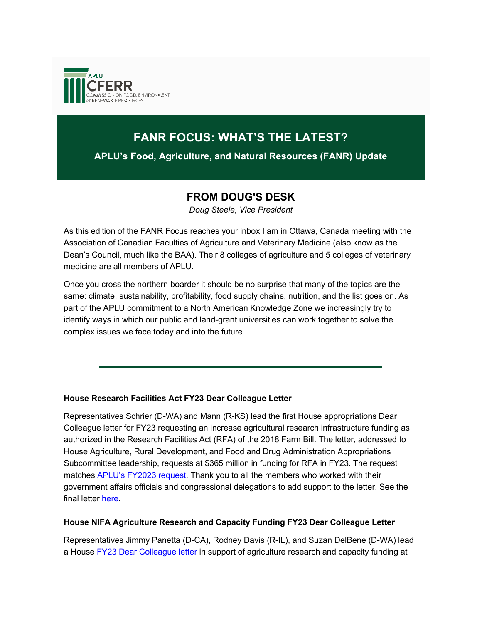

# **FANR FOCUS: WHAT'S THE LATEST?**

**APLU's Food, Agriculture, and Natural Resources (FANR) Update**

# **FROM DOUG'S DESK**

*Doug Steele, Vice President*

As this edition of the FANR Focus reaches your inbox I am in Ottawa, Canada meeting with the Association of Canadian Faculties of Agriculture and Veterinary Medicine (also know as the Dean's Council, much like the BAA). Their 8 colleges of agriculture and 5 colleges of veterinary medicine are all members of APLU.

Once you cross the northern boarder it should be no surprise that many of the topics are the same: climate, sustainability, profitability, food supply chains, nutrition, and the list goes on. As part of the APLU commitment to a North American Knowledge Zone we increasingly try to identify ways in which our public and land-grant universities can work together to solve the complex issues we face today and into the future.

#### **House Research Facilities Act FY23 Dear Colleague Letter**

Representatives Schrier (D-WA) and Mann (R-KS) lead the first House appropriations Dear Colleague letter for FY23 requesting an increase agricultural research infrastructure funding as authorized in the Research Facilities Act (RFA) of the 2018 Farm Bill. The letter, addressed to House Agriculture, Rural Development, and Food and Drug Administration Appropriations Subcommittee leadership, requests at \$365 million in funding for RFA in FY23. The request matches [APLU's FY2023 request.](http://go.aplu.org/NjAzLVVSVy0xMjcAAAGEM6inwMKmnlkvG0rYMdab1ATG1a98YigqHfJaL7VnvIIUEuBlARMIcDJQFcl_RE6uzE4KjHo=) Thank you to all the members who worked with their government affairs officials and congressional delegations to add support to the letter. See the final letter [here.](http://go.aplu.org/NjAzLVVSVy0xMjcAAAGEM6inwLyPx-R2pZueW4XW6X6n-PnFhtzrBOczPRSvOJJ4xWOPcGr0WgmjHZflCmoRcNSoVlk=)

#### **House NIFA Agriculture Research and Capacity Funding FY23 Dear Colleague Letter**

Representatives Jimmy Panetta (D-CA), Rodney Davis (R-IL), and Suzan DelBene (D-WA) lead a House [FY23 Dear Colleague letter](http://go.aplu.org/NjAzLVVSVy0xMjcAAAGEM6inwMgG0VniCYLz21wx-q73knxx-vn-wIEFTdxpy1sws_onULrwqPz--H85bFoGYHm1CV8=) in support of agriculture research and capacity funding at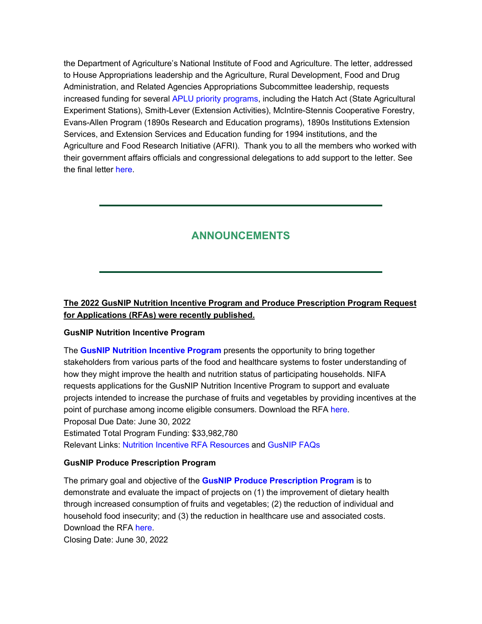the Department of Agriculture's National Institute of Food and Agriculture. The letter, addressed to House Appropriations leadership and the Agriculture, Rural Development, Food and Drug Administration, and Related Agencies Appropriations Subcommittee leadership, requests increased funding for several [APLU priority programs,](http://go.aplu.org/NjAzLVVSVy0xMjcAAAGEM6inwJZu72WFjIDrz0Dot0hzbnn3zLgOVi20_eEEQcCpL4__58oX4I4CDdpBfaqKaMTVsr0=) including the Hatch Act (State Agricultural Experiment Stations), Smith-Lever (Extension Activities), McIntire-Stennis Cooperative Forestry, Evans-Allen Program (1890s Research and Education programs), 1890s Institutions Extension Services, and Extension Services and Education funding for 1994 institutions, and the Agriculture and Food Research Initiative (AFRI). Thank you to all the members who worked with their government affairs officials and congressional delegations to add support to the letter. See the final letter [here.](http://go.aplu.org/NjAzLVVSVy0xMjcAAAGEM6inwD--jrQ2wLvXO_hhbZKWRQv6YT5R4ApaTp06IvnQrzO2akBv6QijeTUrof9ZFtIW0oc=)

# **ANNOUNCEMENTS**

# **The 2022 GusNIP Nutrition Incentive Program and Produce Prescription Program Request for Applications (RFAs) were recently published.**

#### **GusNIP Nutrition Incentive Program**

The **[GusNIP Nutrition Incentive Program](http://go.aplu.org/NjAzLVVSVy0xMjcAAAGEM6inwMY3foQKJk1x_IuW4t357H0cHMgRjqUInk3grmSFTk74vyLnYALjrKyW_cAzDYjSgls=)** presents the opportunity to bring together stakeholders from various parts of the food and healthcare systems to foster understanding of how they might improve the health and nutrition status of participating households. NIFA requests applications for the GusNIP Nutrition Incentive Program to support and evaluate projects intended to increase the purchase of fruits and vegetables by providing incentives at the point of purchase among income eligible consumers. Download the RFA [here.](http://go.aplu.org/NjAzLVVSVy0xMjcAAAGEM6inwJaU3YENV5AD8lk-coJeBk5R7mqFk9YSJ7TFk6guIzg-H4MnOzMeTWG_jSqaRljM-8Y=) Proposal Due Date: June 30, 2022 Estimated Total Program Funding: \$33,982,780 Relevant Links: [Nutrition Incentive RFA Resources](http://go.aplu.org/NjAzLVVSVy0xMjcAAAGEM6inwDfExvJ1bbuzJVpyMwSVxswRWc3CkOcWHw7_kxtn8ZKPxdy0JiODF-RkNgG9j3NVEIA=) and [GusNIP FAQs](http://go.aplu.org/NjAzLVVSVy0xMjcAAAGEM6inwPz7iWhGq0UnIPeduogVABlCWt_-o-u68w4BGGCVvJ4-SQNCtSw33Nz6MZCSp4_o4rY=)

#### **GusNIP Produce Prescription Program**

The primary goal and objective of the **[GusNIP Produce Prescription Program](http://go.aplu.org/NjAzLVVSVy0xMjcAAAGEM6inwOa9VM3dDI5AHtX1aMf463Lo7HifBPJj6_WzcKSn83E-9rMAIp9Wm1gRaR4As2z0VaM=)** is to demonstrate and evaluate the impact of projects on (1) the improvement of dietary health through increased consumption of fruits and vegetables; (2) the reduction of individual and household food insecurity; and (3) the reduction in healthcare use and associated costs. Download the RFA [here.](http://go.aplu.org/NjAzLVVSVy0xMjcAAAGEM6inwMz6AjynWgMNYtRSuBvSG6D1M1G-dBK3m7k_m2trk9rJQoHJVqteSpHbdMyUkk0KsN0=)

Closing Date: June 30, 2022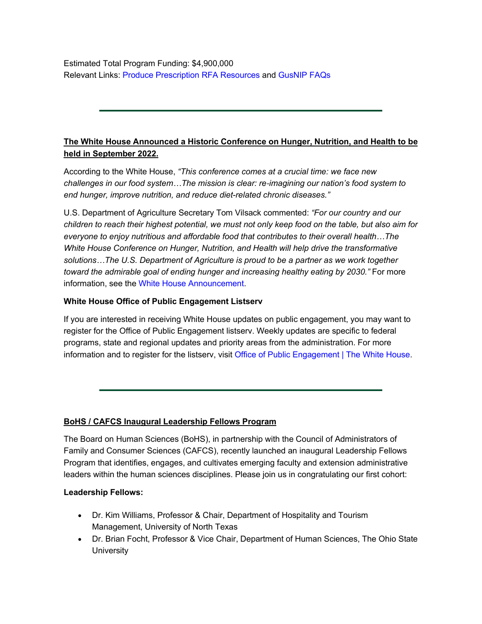Estimated Total Program Funding: \$4,900,000 Relevant Links: [Produce Prescription RFA Resources](http://go.aplu.org/NjAzLVVSVy0xMjcAAAGEM6inwEAoVcIXY4r6DruprEQiqFg1sPRpP1d13S8Jmqy77ZNE-6AM8fB066-anuUiwB9ECIQ=) and [GusNIP FAQs](http://go.aplu.org/NjAzLVVSVy0xMjcAAAGEM6inwPz7iWhGq0UnIPeduogVABlCWt_-o-u68w4BGGCVvJ4-SQNCtSw33Nz6MZCSp4_o4rY=)

# **The White House Announced a Historic Conference on Hunger, Nutrition, and Health to be held in September 2022.**

According to the White House, *"This conference comes at a crucial time: we face new challenges in our food system…The mission is clear: re*‐*imagining our nation's food system to end hunger, improve nutrition, and reduce diet-related chronic diseases."*

U.S. Department of Agriculture Secretary Tom Vilsack commented: *"For our country and our children to reach their highest potential, we must not only keep food on the table, but also aim for everyone to enjoy nutritious and affordable food that contributes to their overall health…The White House Conference on Hunger, Nutrition, and Health will help drive the transformative solutions…The U.S. Department of Agriculture is proud to be a partner as we work together toward the admirable goal of ending hunger and increasing healthy eating by 2030."* For more information, see the [White House Announcement.](http://go.aplu.org/NjAzLVVSVy0xMjcAAAGEM6inwFhR9ekr2PA_ClLAvNT-9Am82f6ta2_-dmOamPIDijsghMM5TioL-EFndlsCbeA1SCY=)

# **White House Office of Public Engagement Listserv**

If you are interested in receiving White House updates on public engagement, you may want to register for the Office of Public Engagement listserv. Weekly updates are specific to federal programs, state and regional updates and priority areas from the administration. For more information and to register for the listserv, visit [Office of Public Engagement | The White House.](http://go.aplu.org/NjAzLVVSVy0xMjcAAAGEM6inwCxCpAZSY3KMRD_m-GkF9clBIPuo4eNxe242wa1aDSnbPubVMrziqLIAcTD8Ok0O_ZQ=)

#### **BoHS / CAFCS Inaugural Leadership Fellows Program**

The Board on Human Sciences (BoHS), in partnership with the Council of Administrators of Family and Consumer Sciences (CAFCS), recently launched an inaugural Leadership Fellows Program that identifies, engages, and cultivates emerging faculty and extension administrative leaders within the human sciences disciplines. Please join us in congratulating our first cohort:

#### **Leadership Fellows:**

- Dr. Kim Williams, Professor & Chair, Department of Hospitality and Tourism Management, University of North Texas
- Dr. Brian Focht, Professor & Vice Chair, Department of Human Sciences, The Ohio State **University**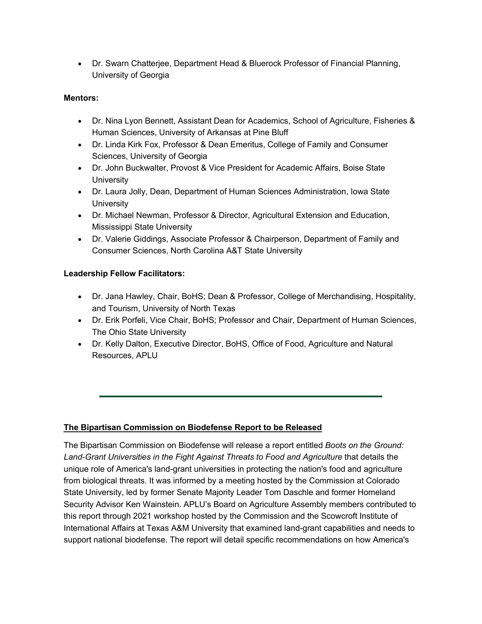• Dr. Swarn Chatterjee, Department Head & Bluerock Professor of Financial Planning, University of Georgia

### **Mentors:**

- Dr. Nina Lyon Bennett, Assistant Dean for Academics, School of Agriculture, Fisheries & Human Sciences, University of Arkansas at Pine Bluff
- Dr. Linda Kirk Fox, Professor & Dean Emeritus, College of Family and Consumer Sciences, University of Georgia
- Dr. John Buckwalter, Provost & Vice President for Academic Affairs, Boise State **University**
- Dr. Laura Jolly, Dean, Department of Human Sciences Administration, Iowa State **University**
- Dr. Michael Newman, Professor & Director, Agricultural Extension and Education, Mississippi State University
- Dr. Valerie Giddings, Associate Professor & Chairperson, Department of Family and Consumer Sciences, North Carolina A&T State University

### **Leadership Fellow Facilitators:**

- Dr. Jana Hawley, Chair, BoHS; Dean & Professor, College of Merchandising, Hospitality, and Tourism, University of North Texas
- Dr. Erik Porfeli, Vice Chair, BoHS; Professor and Chair, Department of Human Sciences, The Ohio State University
- Dr. Kelly Dalton, Executive Director, BoHS, Office of Food, Agriculture and Natural Resources, APLU

# **The Bipartisan Commission on Biodefense Report to be Released**

The Bipartisan Commission on Biodefense will release a report entitled *Boots on the Ground: Land-Grant Universities in the Fight Against Threats to Food and Agriculture* that details the unique role of America's land-grant universities in protecting the nation's food and agriculture from biological threats. It was informed by a meeting hosted by the Commission at Colorado State University, led by former Senate Majority Leader Tom Daschle and former Homeland Security Advisor Ken Wainstein. APLU's Board on Agriculture Assembly members contributed to this report through 2021 workshop hosted by the Commission and the Scowcroft Institute of International Affairs at Texas A&M University that examined land-grant capabilities and needs to support national biodefense. The report will detail specific recommendations on how America's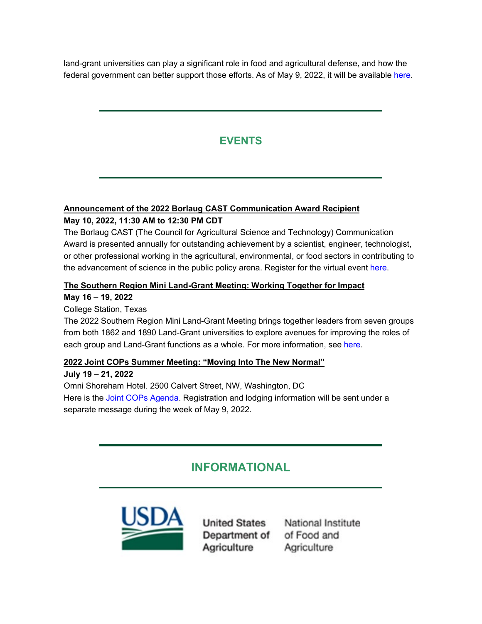land-grant universities can play a significant role in food and agricultural defense, and how the federal government can better support those efforts. As of May 9, 2022, it will be available [here.](http://go.aplu.org/NjAzLVVSVy0xMjcAAAGEM6inwDnSSu-oYnzeJrp12xeKbz5HaQH5wDsMM-s278yDOdjr4_yu7xRz7ZvrivR7nb2xoes=)

# **EVENTS**

# **Announcement of the 2022 Borlaug CAST Communication Award Recipient**

# **May 10, 2022, 11:30 AM to 12:30 PM CDT**

The Borlaug CAST (The Council for Agricultural Science and Technology) Communication Award is presented annually for outstanding achievement by a scientist, engineer, technologist, or other professional working in the agricultural, environmental, or food sectors in contributing to the advancement of science in the public policy arena. Register for the virtual event [here.](http://go.aplu.org/NjAzLVVSVy0xMjcAAAGEM6inwMa8JY2f3dOPfSk5DqN3QqBTwCHX1TEH1nZByjggAkQdGVZh4SusqhfGz8-K8qf8jg0=)

#### **The Southern Region Mini Land-Grant Meeting: Working Together for Impact**

### **May 16 – 19, 2022**

### College Station, Texas

The 2022 Southern Region Mini Land-Grant Meeting brings together leaders from seven groups from both 1862 and 1890 Land-Grant universities to explore avenues for improving the roles of each group and Land-Grant functions as a whole. For more information, see [here.](http://go.aplu.org/NjAzLVVSVy0xMjcAAAGEM6inwHd-siQkY_eKZTTjBGcwrV5OwSaW_yYei31rPFggH2eovc3aYbuGczPklL_PoxyQ0gw=)

# **2022 Joint COPs Summer Meeting: "Moving Into The New Normal"**

# **July 19 – 21, 2022** Omni Shoreham Hotel. 2500 Calvert Street, NW, Washington, DC Here is the [Joint COPs Agenda.](http://go.aplu.org/NjAzLVVSVy0xMjcAAAGEM6inwJi3kXckglE69TnuTkqbeaRRs2-wdsrPqvmkCLfYlezv43wIKgKC31CYHElavEHvzVw=) Registration and lodging information will be sent under a separate message during the week of May 9, 2022.

# **INFORMATIONAL**



Department of of Food and Agriculture

**United States National Institute** Agriculture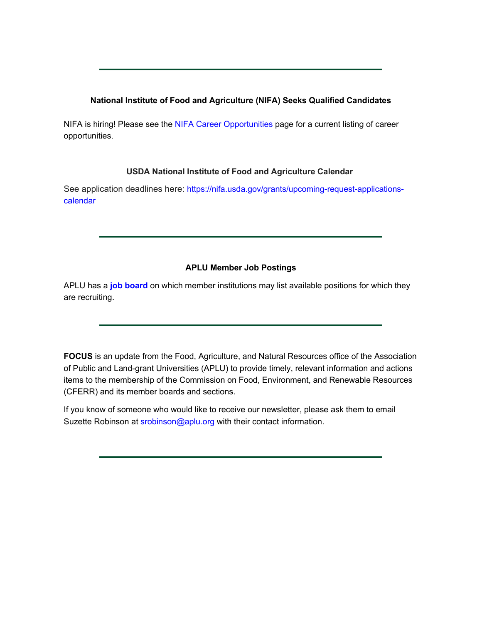## **National Institute of Food and Agriculture (NIFA) Seeks Qualified Candidates**

NIFA is hiring! Please see the [NIFA Career Opportunities](http://go.aplu.org/NjAzLVVSVy0xMjcAAAGEM6inwKF4kWFRaN563E_YtescubTeQ8iPpjHSmWbHQ3UTEZ2SvgMihwkm68iiKOGEetDf2jw=) page for a current listing of career opportunities.

#### **USDA National Institute of Food and Agriculture Calendar**

See application deadlines here: [https://nifa.usda.gov/grants/upcoming-request-applications](http://go.aplu.org/NjAzLVVSVy0xMjcAAAGEM6inwE8DJG6bnDOS9a9rvkTCivJ8qLVlPsDIRhO-cDZF_j3tr_NV7zcCm1YSYWlP4PmzrBg=)[calendar](http://go.aplu.org/NjAzLVVSVy0xMjcAAAGEM6inwE8DJG6bnDOS9a9rvkTCivJ8qLVlPsDIRhO-cDZF_j3tr_NV7zcCm1YSYWlP4PmzrBg=)

#### **APLU Member Job Postings**

APLU has a **[job board](http://go.aplu.org/NjAzLVVSVy0xMjcAAAGEM6inwGYBnNB3TMC9mB8FDmXe_Qu1m6sOod9JuFdGDpE-_H_o1MFjSCHZFricFGkV17OcuGM=)** on which member institutions may list available positions for which they are recruiting.

**FOCUS** is an update from the Food, Agriculture, and Natural Resources office of the Association of Public and Land-grant Universities (APLU) to provide timely, relevant information and actions items to the membership of the Commission on Food, Environment, and Renewable Resources (CFERR) and its member boards and sections.

If you know of someone who would like to receive our newsletter, please ask them to email Suzette Robinson at [srobinson@aplu.org](http://go.aplu.org/NjAzLVVSVy0xMjcAAAGEM6inwNXA3qJH94CBoVF_NcP6MUIb_V4iF-D5-mlPlELsw3Jo67rO0iNa6dMm-G1AzXGMzf8=) with their contact information.